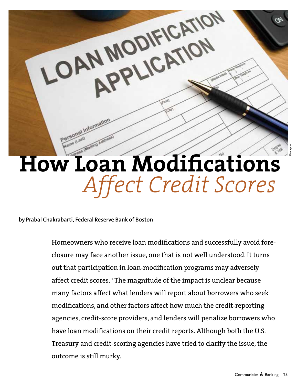

**by Prabal Chakrabarti, Federal Reserve Bank of Boston**

Homeowners who receive loan modifications and successfully avoid foreclosure may face another issue, one that is not well understood. It turns out that participation in loan-modification programs may adversely affect credit scores. I The magnitude of the impact is unclear because many factors affect what lenders will report about borrowers who seek modifications, and other factors affect how much the credit-reporting agencies, credit-score providers, and lenders will penalize borrowers who have loan modifications on their credit reports. Although both the U.S. Treasury and credit-scoring agencies have tried to clarify the issue, the outcome is still murky.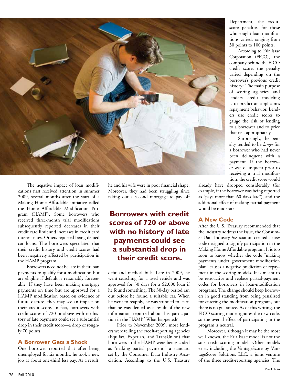

The negative impact of loan modifications first received attention in summer 2009, several months after the start of a Making Home Affordable initiative called the Home Affordable Modification Program (HAMP). Some borrowers who received three-month trial modifications subsequently reported decreases in their credit card limit and increases in credit card interest rates. Others reported being denied car loans. The borrowers speculated that their credit history and credit scores had been negatively affected by participation in the HAMP program.

Borrowers need not be late in their loan payments to qualify for a modification but are eligible if default is reasonably foreseeable. If they have been making mortgage payments on time but are approved for a HAMP modification based on evidence of future distress, they may see an impact on their credit score. In fact, borrowers with credit scores of 720 or above with no history of late payments could see a substantial drop in their credit score—a drop of roughly 70 points.

### **A Borrower Gets a Shock**

One borrower reported that after being unemployed for six months, he took a new job at about one-third less pay. As a result,

he and his wife were in poor financial shape. Moreover, they had been struggling since taking out a second mortgage to pay off

# **Borrowers with credit scores of 720 or above with no history of late payments could see a substantial drop in their credit score.**

debt and medical bills. Late in 2009, he went searching for a used vehicle and was approved for 30 days for a \$2,000 loan if he found something. The 30-day period ran out before he found a suitable car. When he went to reapply, he was stunned to learn that he was denied as a result of the new information reported about his participation in the HAMP.<sup>2</sup> What happened?

Prior to November 2009, most lenders were telling the credit-reporting agencies (Equifax, Experian, and TransUnion) that borrowers in the HAMP were being coded as "making partial payment," a standard set by the Consumer Data Industry Association. According to the U.S. Treasury

Department, the creditscore penalties for those who sought loan modifications varied, ranging from 30 points to 100 points.

According to Fair Isaac Corporation (FICO), the company behind the FICO credit score, the penalty varied depending on the borrower's previous credit history.3 The main purpose of scoring agencies' and lenders' credit modeling is to predict an applicant's repayment behavior. Lenders use credit scores to gauge the risk of lending to a borrower and to price that risk appropriately.

Surprisingly, the penalty tended to be *larger* for a borrower who had never been delinquent with a payment. If the borrower was delinquent prior to receiving a trial modification*,* the credit score would

already have dropped considerably (for example, if the borrower was being reported as "pays more than 60 days late"), and the additional effect of making partial payment would be moderate.

## **A New Code**

After the U.S. Treasury recommended that the industry address the issue, the Consumer Data Industry Association created a new code designed to signify participation in the Making Home Affordable program. It is too soon to know whether the code "making payments under government modification plan" causes a negative prediction of repayment in the scoring models. It is meant to be retroactive and replace partial-payment codes for borrowers in loan-modification programs. The change should keep borrowers in good standing from being penalized for entering the modification program, but there is no guarantee. As of this writing, the FICO scoring model ignores the new code, so the overall effect of participating in the program is neutral.

Moreover, although it may be the most well known, the Fair Isaac model is not the sole credit-scoring model. Other models exist, including the VantageScore by VantageScore Solutions LLC, a joint venture of the three credit-reporting agencies. The